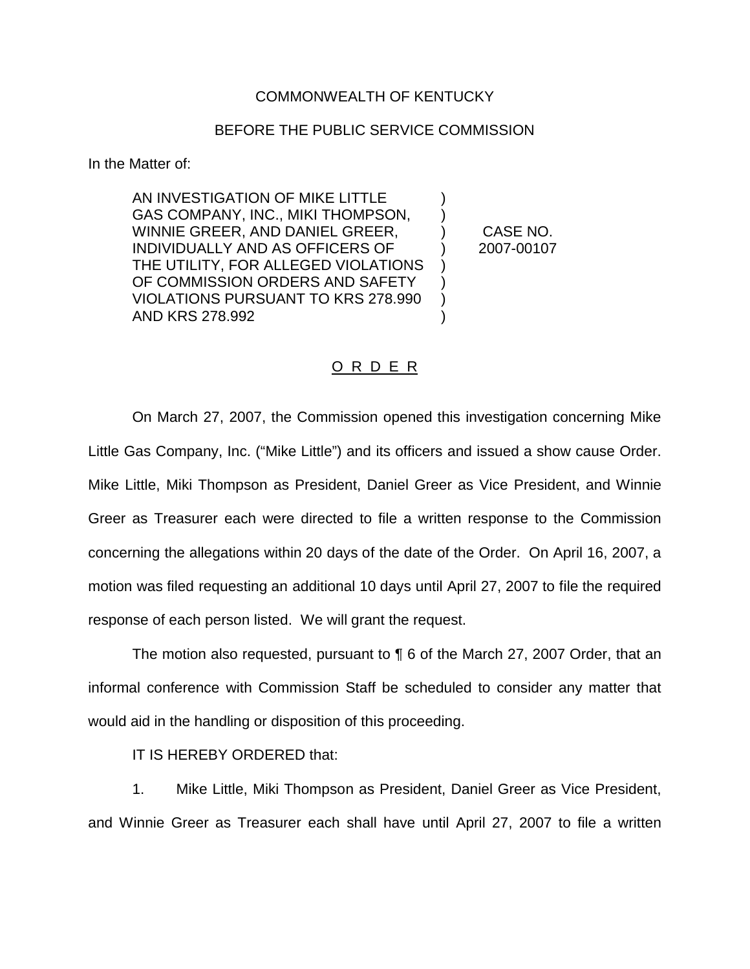## COMMONWEALTH OF KENTUCKY

## BEFORE THE PUBLIC SERVICE COMMISSION

In the Matter of:

AN INVESTIGATION OF MIKE LITTLE GAS COMPANY, INC., MIKI THOMPSON, WINNIE GREER, AND DANIEL GREER,  $\qquad$  ) CASE NO. INDIVIDUALLY AND AS OFFICERS OF ) 2007-00107 THE UTILITY, FOR ALLEGED VIOLATIONS OF COMMISSION ORDERS AND SAFETY VIOLATIONS PURSUANT TO KRS 278.990 ) AND KRS 278.992 (a)

## O R D E R

On March 27, 2007, the Commission opened this investigation concerning Mike Little Gas Company, Inc. ("Mike Little") and its officers and issued a show cause Order. Mike Little, Miki Thompson as President, Daniel Greer as Vice President, and Winnie Greer as Treasurer each were directed to file a written response to the Commission concerning the allegations within 20 days of the date of the Order. On April 16, 2007, a motion was filed requesting an additional 10 days until April 27, 2007 to file the required response of each person listed. We will grant the request.

The motion also requested, pursuant to ¶ 6 of the March 27, 2007 Order, that an informal conference with Commission Staff be scheduled to consider any matter that would aid in the handling or disposition of this proceeding.

IT IS HEREBY ORDERED that:

1. Mike Little, Miki Thompson as President, Daniel Greer as Vice President, and Winnie Greer as Treasurer each shall have until April 27, 2007 to file a written